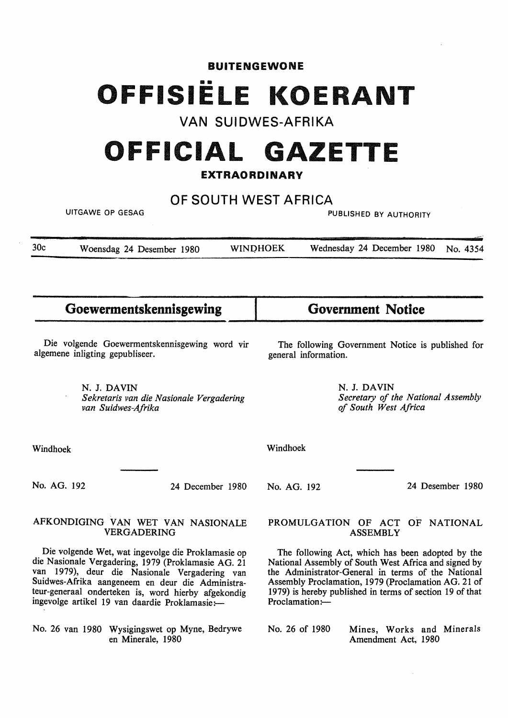# **BUITENGEWONE**  •• **OFFISIELE KOER NT**

# **VAN SUIDWES-AFRIKA**

# **OFFICIAL GAZETTE**

#### **EXTRAORDINARY**

## **OF SOUTH WEST AFRICA**

| <b>UITGAWE OP GESAG</b>                                                                                                                                                                                                                                                                                                 |                                                                               |                 | PUBLISHED BY AUTHORITY                                                                                                                                                                                                                                                                              |                                                    |                                    |                  |
|-------------------------------------------------------------------------------------------------------------------------------------------------------------------------------------------------------------------------------------------------------------------------------------------------------------------------|-------------------------------------------------------------------------------|-----------------|-----------------------------------------------------------------------------------------------------------------------------------------------------------------------------------------------------------------------------------------------------------------------------------------------------|----------------------------------------------------|------------------------------------|------------------|
| 30c                                                                                                                                                                                                                                                                                                                     | Woensdag 24 Desember 1980                                                     | <b>WINDHOEK</b> |                                                                                                                                                                                                                                                                                                     | Wednesday 24 December 1980<br>No. 4354             |                                    |                  |
|                                                                                                                                                                                                                                                                                                                         | Goewermentskennisgewing                                                       |                 |                                                                                                                                                                                                                                                                                                     | <b>Government Notice</b>                           |                                    |                  |
| Die volgende Goewermentskennisgewing word vir<br>algemene inligting gepubliseer.                                                                                                                                                                                                                                        |                                                                               |                 | The following Government Notice is published for<br>general information.                                                                                                                                                                                                                            |                                                    |                                    |                  |
|                                                                                                                                                                                                                                                                                                                         | N. J. DAVIN<br>Sekretaris van die Nasionale Vergadering<br>van Suidwes-Afrika |                 |                                                                                                                                                                                                                                                                                                     | N. J. DAVIN<br>of South West Africa                | Secretary of the National Assembly |                  |
| Windhoek                                                                                                                                                                                                                                                                                                                |                                                                               |                 | Windhoek                                                                                                                                                                                                                                                                                            |                                                    |                                    |                  |
| No. AG. 192                                                                                                                                                                                                                                                                                                             | 24 December 1980                                                              |                 | No. AG. 192                                                                                                                                                                                                                                                                                         |                                                    |                                    | 24 Desember 1980 |
|                                                                                                                                                                                                                                                                                                                         | AFKONDIGING VAN WET VAN NASIONALE<br><b>VERGADERING</b>                       |                 |                                                                                                                                                                                                                                                                                                     | PROMULGATION OF ACT OF NATIONAL<br><b>ASSEMBLY</b> |                                    |                  |
| Die volgende Wet, wat ingevolge die Proklamasie op<br>die Nasionale Vergadering, 1979 (Proklamasie AG. 21<br>van 1979), deur die Nasionale Vergadering van<br>Suidwes-Afrika aangeneem en deur die Administra-<br>teur-generaal onderteken is, word hierby afgekondig<br>ingevolge artikel 19 van daardie Proklamasie:- |                                                                               |                 | The following Act, which has been adopted by the<br>National Assembly of South West Africa and signed by<br>the Administrator-General in terms of the National<br>Assembly Proclamation, 1979 (Proclamation AG. 21 of<br>1979) is hereby published in terms of section 19 of that<br>Proclamation:- |                                                    |                                    |                  |

No. 26 van 1980 Wysigingswet op Myne, Bedrywe en Minerale, 1980

Mines, Works and Minerals Amendment Act, 1980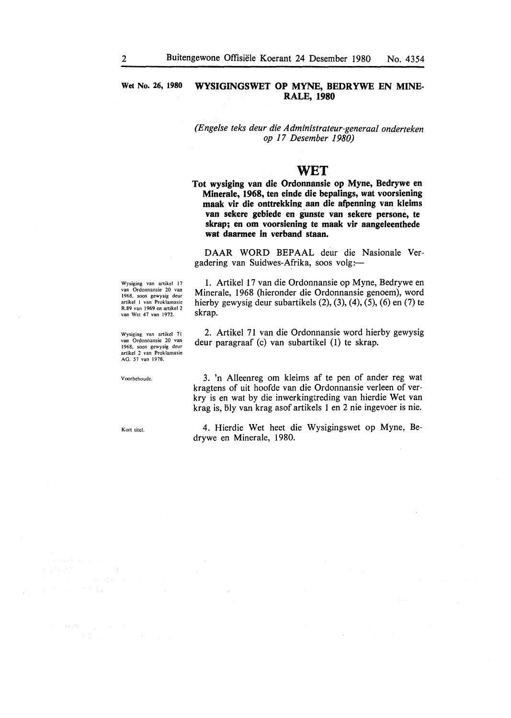#### Wet No. 26, 1980 **WYSIGINGSWET OP MYNE, BEDRYWE EN MINE-RALE, 1980**

*(Enge/se teks deur die Administrateur-generaal onderteken op 17 Desember 1980)* 

#### **WET**

**Tot wysiging van die Ordonnansie op Myne, Bedrywe en Minerale, 1968, ten einde die bepalings, wat voorsiening**  maak vir die onttrekking aan die afpenning van kleims van sekere gebiede en gunste van sekere persone, te **skrap; en om voorsiening te maak vir aangeleenthede wat daarmee in verband staan.** 

DAAR WORD BEPAAL deur die Nasionale Vergadering van Suidwes-Afrika, soos volg:

Wysiging van artikel 17 van Ordonnansie 20 van 1968, soos gewysig deur artikel I van Proklamasie R.89 van 1969 en artikel 2 van Wet 47 van 1972.

Wysiging van artikel 71 van Ordonnansie 20 van 1968, soos gewysig deur artikel 2 van Proklamasie AG. 57 van 1978.

1. Artikel 17 van die Ordonnansie op Myne, Bedrywe en Minerale, 1968 (hieronder die Ordonnansie genoem), word hierby gewysig deur subartikels (2), (3), (4), (5), (6) en (7) te skrap.

2. Artikel 71 van die Ordonnansie word hierby gewysig deur paragraaf (c) van subartikel (1) te skrap.

V oorbehoudc.

Kort titel.

 $\sim 100$ 

 $\chi_{\rm{max}}=0.5$ 

3. 'n Alleenreg om kleims af te pen of ander reg wat kragtens of uit hoofde van die Ordonnansie verleen of verkry is en wat by die inwerkingtreding van hierdie Wet van krag is, bly van krag asof artikels 1 en 2 nie ingevoer is nie.

4. Hierdie Wet beet die Wysigingswet op Myne, Bedrywe en Minerale, 1980.

 $\sim$   $_{\star}$